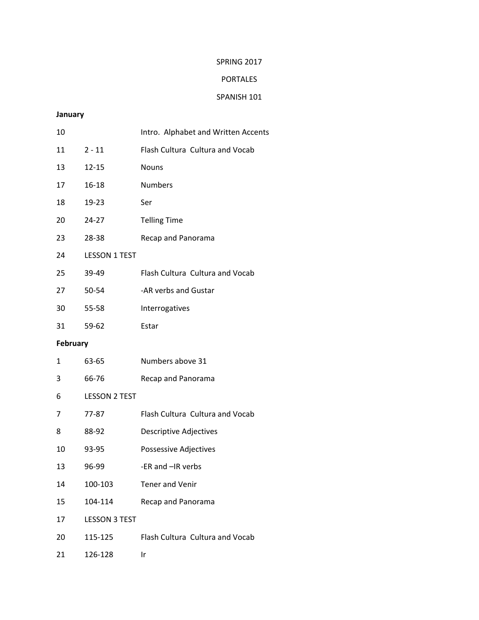## SPRING 2017

## PORTALES

## SPANISH 101

## **January**

| 10       |                      | Intro. Alphabet and Written Accents |
|----------|----------------------|-------------------------------------|
| 11       | $2 - 11$             | Flash Cultura Cultura and Vocab     |
| 13       | $12 - 15$            | <b>Nouns</b>                        |
| 17       | 16-18                | <b>Numbers</b>                      |
| 18       | 19-23                | Ser                                 |
| 20       | 24-27                | <b>Telling Time</b>                 |
| 23       | 28-38                | Recap and Panorama                  |
| 24       | <b>LESSON 1 TEST</b> |                                     |
| 25       | 39-49                | Flash Cultura Cultura and Vocab     |
| 27       | $50 - 54$            | -AR verbs and Gustar                |
| 30       | 55-58                | Interrogatives                      |
| 31       | 59-62                | Estar                               |
| February |                      |                                     |
| 1        | 63-65                | Numbers above 31                    |
| 3        | 66-76                | Recap and Panorama                  |
| 6        | <b>LESSON 2 TEST</b> |                                     |
| 7        | 77-87                | Flash Cultura Cultura and Vocab     |
| 8        | 88-92                | <b>Descriptive Adjectives</b>       |
| 10       | 93-95                | Possessive Adjectives               |
| 13       | 96-99                | -ER and -IR verbs                   |
| 14       | 100-103              | Tener and Venir                     |
| 15       | 104-114              | Recap and Panorama                  |
| 17       | <b>LESSON 3 TEST</b> |                                     |
| 20       | 115-125              | Flash Cultura Cultura and Vocab     |
| 21       | 126-128              | Ir                                  |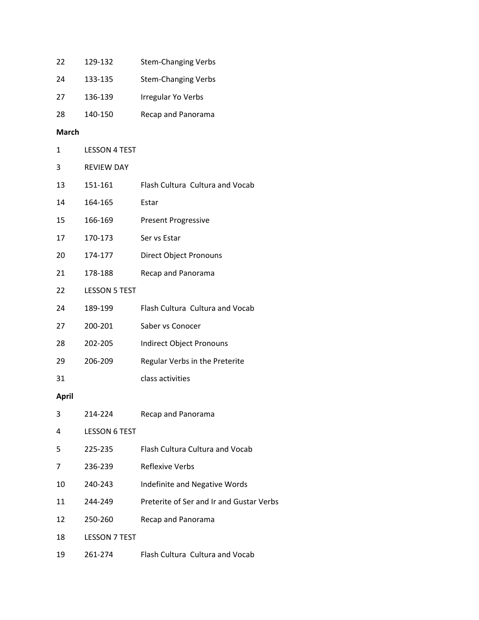| 22           | 129-132              | <b>Stem-Changing Verbs</b>               |
|--------------|----------------------|------------------------------------------|
| 24           | 133-135              | <b>Stem-Changing Verbs</b>               |
| 27           | 136-139              | Irregular Yo Verbs                       |
| 28           | 140-150              | Recap and Panorama                       |
| <b>March</b> |                      |                                          |
| 1            | <b>LESSON 4 TEST</b> |                                          |
| 3            | <b>REVIEW DAY</b>    |                                          |
| 13           | 151-161              | Flash Cultura Cultura and Vocab          |
| 14           | 164-165              | Estar                                    |
| 15           | 166-169              | <b>Present Progressive</b>               |
| 17           | 170-173              | Ser vs Estar                             |
| 20           | 174-177              | <b>Direct Object Pronouns</b>            |
| 21           | 178-188              | Recap and Panorama                       |
| 22           | <b>LESSON 5 TEST</b> |                                          |
| 24           | 189-199              | Flash Cultura Cultura and Vocab          |
| 27           | 200-201              | Saber vs Conocer                         |
| 28           | 202-205              | Indirect Object Pronouns                 |
| 29           | 206-209              | Regular Verbs in the Preterite           |
| 31           |                      | class activities                         |
| <b>April</b> |                      |                                          |
| 3            | 214-224              | Recap and Panorama                       |
| 4            | <b>LESSON 6 TEST</b> |                                          |
| 5            | 225-235              | Flash Cultura Cultura and Vocab          |
| 7            | 236-239              | <b>Reflexive Verbs</b>                   |
| 10           | 240-243              | Indefinite and Negative Words            |
| 11           | 244-249              | Preterite of Ser and Ir and Gustar Verbs |
| 12           | 250-260              | Recap and Panorama                       |
| 18           | <b>LESSON 7 TEST</b> |                                          |
| 19           | 261-274              | Flash Cultura Cultura and Vocab          |